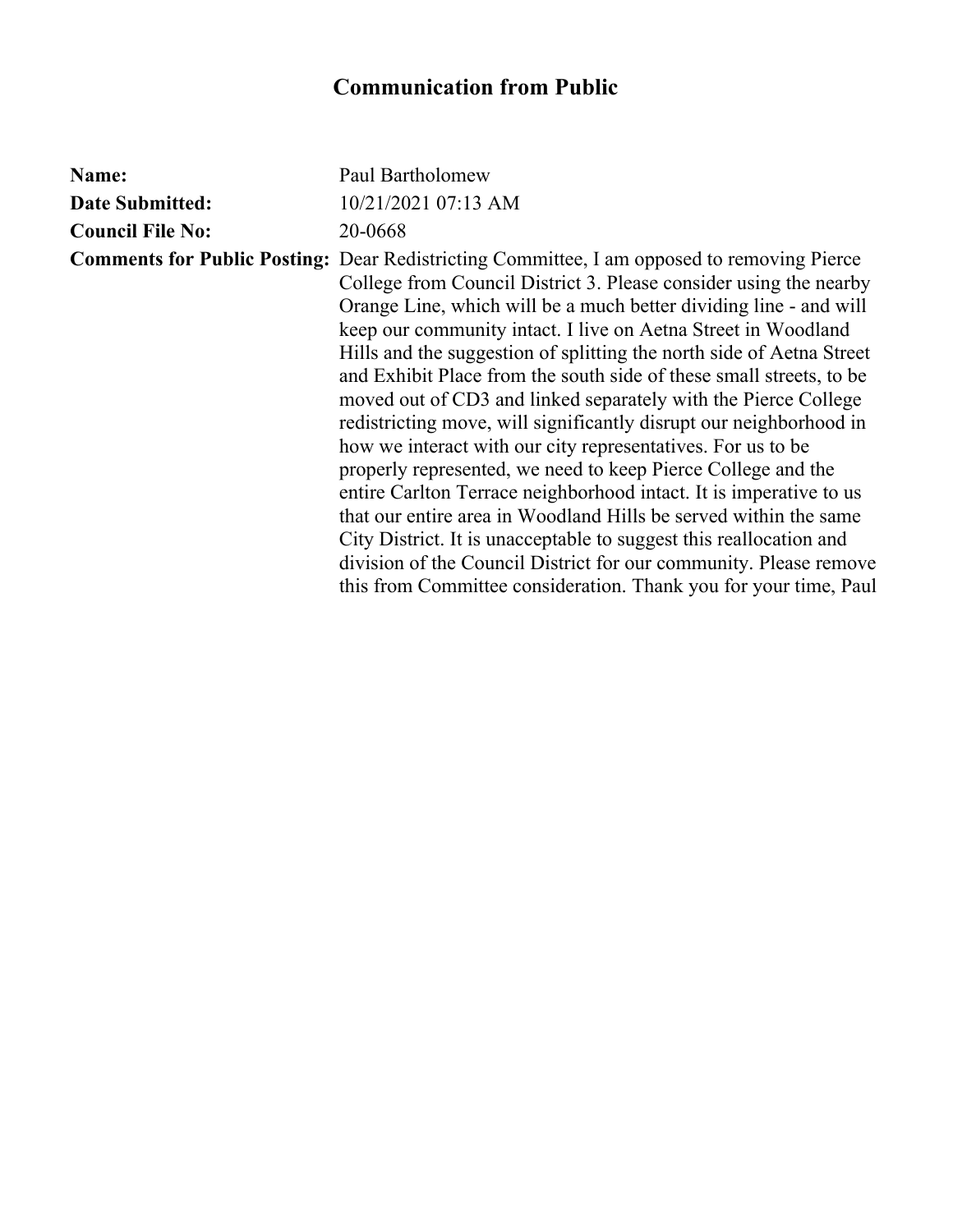| <b>Date Submitted:</b>             | 10/21/2021 07:13 AM                                                                                                                                                                                                                                                                                                                                                                                                                                                                                                                                                                                                                                                                                                                                                                                                                                                                                                                                                                                                                                                                         |
|------------------------------------|---------------------------------------------------------------------------------------------------------------------------------------------------------------------------------------------------------------------------------------------------------------------------------------------------------------------------------------------------------------------------------------------------------------------------------------------------------------------------------------------------------------------------------------------------------------------------------------------------------------------------------------------------------------------------------------------------------------------------------------------------------------------------------------------------------------------------------------------------------------------------------------------------------------------------------------------------------------------------------------------------------------------------------------------------------------------------------------------|
| <b>Council File No:</b><br>20-0668 |                                                                                                                                                                                                                                                                                                                                                                                                                                                                                                                                                                                                                                                                                                                                                                                                                                                                                                                                                                                                                                                                                             |
|                                    | <b>Comments for Public Posting:</b> Dear Redistricting Committee, I am opposed to removing Pierce<br>College from Council District 3. Please consider using the nearby<br>Orange Line, which will be a much better dividing line - and will<br>keep our community intact. I live on Aetna Street in Woodland<br>Hills and the suggestion of splitting the north side of Aetna Street<br>and Exhibit Place from the south side of these small streets, to be<br>moved out of CD3 and linked separately with the Pierce College<br>redistricting move, will significantly disrupt our neighborhood in<br>how we interact with our city representatives. For us to be<br>properly represented, we need to keep Pierce College and the<br>entire Carlton Terrace neighborhood intact. It is imperative to us<br>that our entire area in Woodland Hills be served within the same<br>City District. It is unacceptable to suggest this reallocation and<br>division of the Council District for our community. Please remove<br>this from Committee consideration. Thank you for your time, Paul |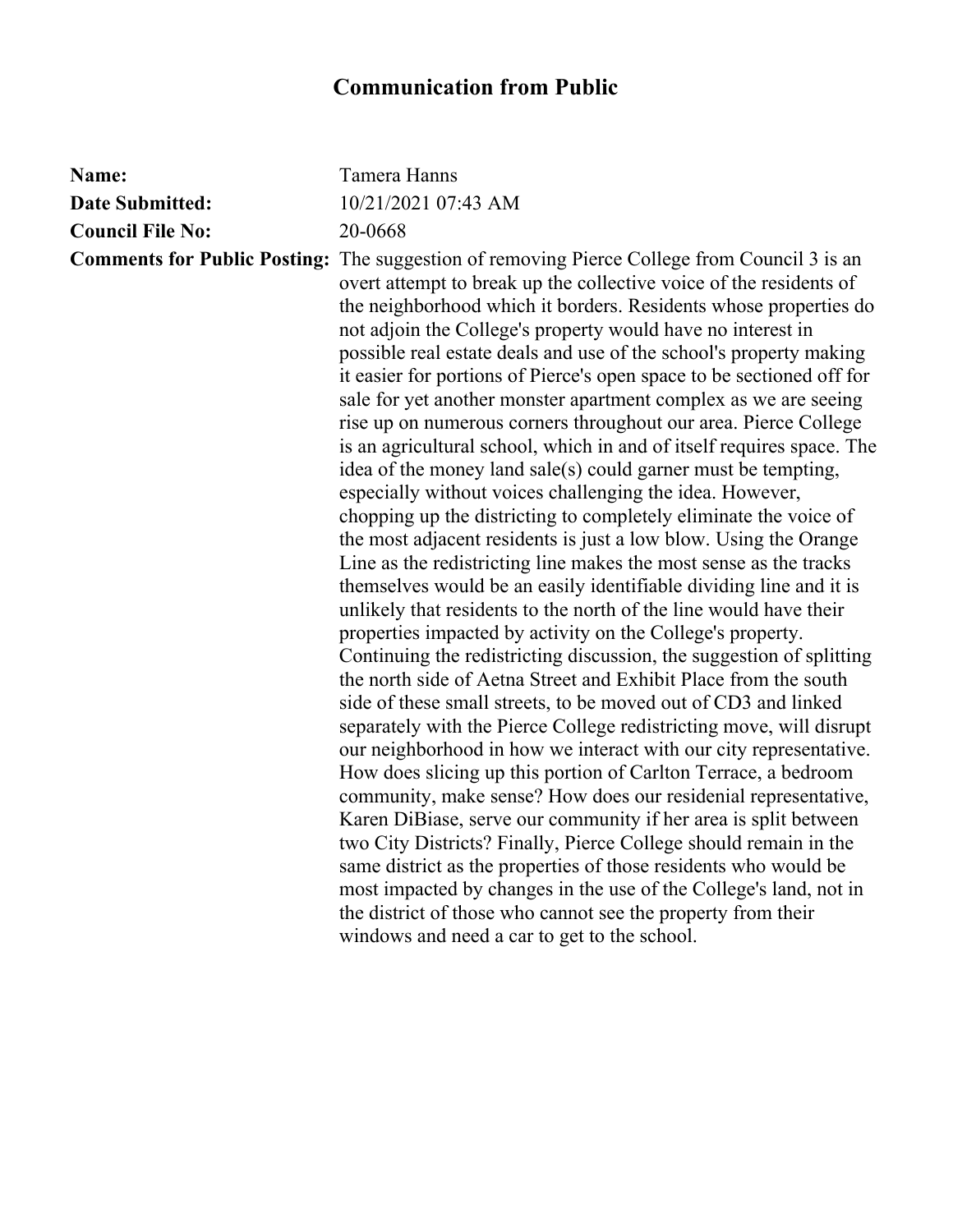| Name:                   | Tamera Hanns                                                                                                                                                                                                                                                                                                                                                                                                                                                                                                                                                                                                                                                                                                                                                                                                                                                                                                                                                                                                                                                                                                                                                                                                                                                                                                                                                                                                                                                                                                                                                                                                                                                                                                                                                                                                                                                                                                                                                                                                                                                                                                             |
|-------------------------|--------------------------------------------------------------------------------------------------------------------------------------------------------------------------------------------------------------------------------------------------------------------------------------------------------------------------------------------------------------------------------------------------------------------------------------------------------------------------------------------------------------------------------------------------------------------------------------------------------------------------------------------------------------------------------------------------------------------------------------------------------------------------------------------------------------------------------------------------------------------------------------------------------------------------------------------------------------------------------------------------------------------------------------------------------------------------------------------------------------------------------------------------------------------------------------------------------------------------------------------------------------------------------------------------------------------------------------------------------------------------------------------------------------------------------------------------------------------------------------------------------------------------------------------------------------------------------------------------------------------------------------------------------------------------------------------------------------------------------------------------------------------------------------------------------------------------------------------------------------------------------------------------------------------------------------------------------------------------------------------------------------------------------------------------------------------------------------------------------------------------|
| <b>Date Submitted:</b>  | 10/21/2021 07:43 AM                                                                                                                                                                                                                                                                                                                                                                                                                                                                                                                                                                                                                                                                                                                                                                                                                                                                                                                                                                                                                                                                                                                                                                                                                                                                                                                                                                                                                                                                                                                                                                                                                                                                                                                                                                                                                                                                                                                                                                                                                                                                                                      |
| <b>Council File No:</b> | 20-0668                                                                                                                                                                                                                                                                                                                                                                                                                                                                                                                                                                                                                                                                                                                                                                                                                                                                                                                                                                                                                                                                                                                                                                                                                                                                                                                                                                                                                                                                                                                                                                                                                                                                                                                                                                                                                                                                                                                                                                                                                                                                                                                  |
|                         | <b>Comments for Public Posting:</b> The suggestion of removing Pierce College from Council 3 is an<br>overt attempt to break up the collective voice of the residents of<br>the neighborhood which it borders. Residents whose properties do<br>not adjoin the College's property would have no interest in<br>possible real estate deals and use of the school's property making<br>it easier for portions of Pierce's open space to be sectioned off for<br>sale for yet another monster apartment complex as we are seeing<br>rise up on numerous corners throughout our area. Pierce College<br>is an agricultural school, which in and of itself requires space. The<br>idea of the money land sale(s) could garner must be tempting,<br>especially without voices challenging the idea. However,<br>chopping up the districting to completely eliminate the voice of<br>the most adjacent residents is just a low blow. Using the Orange<br>Line as the redistricting line makes the most sense as the tracks<br>themselves would be an easily identifiable dividing line and it is<br>unlikely that residents to the north of the line would have their<br>properties impacted by activity on the College's property.<br>Continuing the redistricting discussion, the suggestion of splitting<br>the north side of Aetna Street and Exhibit Place from the south<br>side of these small streets, to be moved out of CD3 and linked<br>separately with the Pierce College redistricting move, will disrupt<br>our neighborhood in how we interact with our city representative.<br>How does slicing up this portion of Carlton Terrace, a bedroom<br>community, make sense? How does our residenial representative,<br>Karen DiBiase, serve our community if her area is split between<br>two City Districts? Finally, Pierce College should remain in the<br>same district as the properties of those residents who would be<br>most impacted by changes in the use of the College's land, not in<br>the district of those who cannot see the property from their<br>windows and need a car to get to the school. |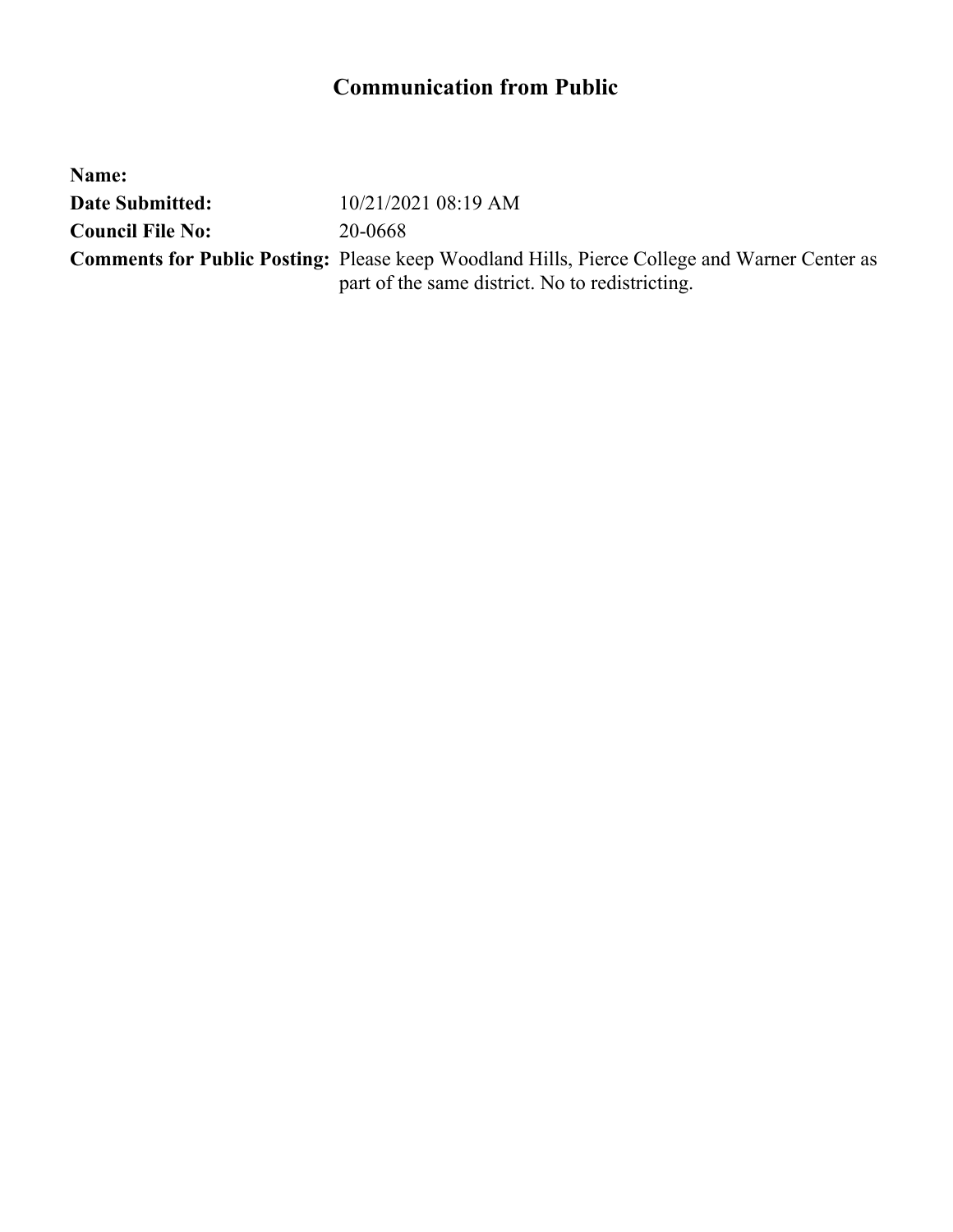| Name:                   |                                                                                                     |
|-------------------------|-----------------------------------------------------------------------------------------------------|
| <b>Date Submitted:</b>  | 10/21/2021 08:19 AM                                                                                 |
| <b>Council File No:</b> | 20-0668                                                                                             |
|                         | <b>Comments for Public Posting:</b> Please keep Woodland Hills, Pierce College and Warner Center as |
|                         | part of the same district. No to redistricting.                                                     |